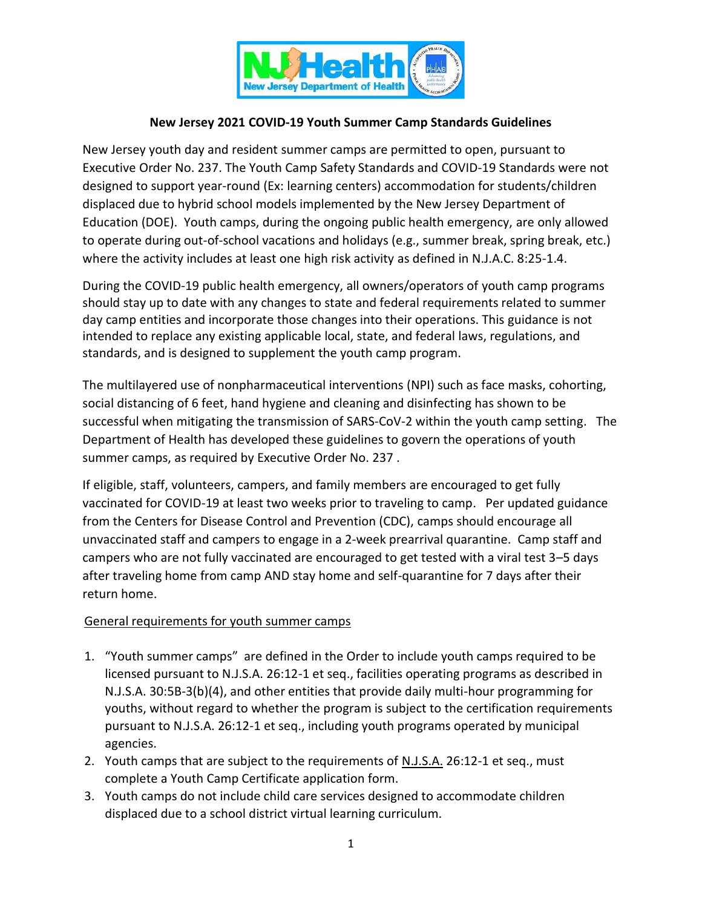

### **New Jersey 2021 COVID-19 Youth Summer Camp Standards Guidelines**

New Jersey youth day and resident summer camps are permitted to open, pursuant to Executive Order No. 237. The Youth Camp Safety Standards and COVID-19 Standards were not designed to support year-round (Ex: learning centers) accommodation for students/children displaced due to hybrid school models implemented by the New Jersey Department of Education (DOE). Youth camps, during the ongoing public health emergency, are only allowed to operate during out-of-school vacations and holidays (e.g., summer break, spring break, etc.) where the activity includes at least one high risk activity as defined in N.J.A.C. 8:25-1.4.

During the COVID-19 public health emergency, all owners/operators of youth camp programs should stay up to date with any changes to state and federal requirements related to summer day camp entities and incorporate those changes into their operations. This guidance is not intended to replace any existing applicable local, state, and federal laws, regulations, and standards, and is designed to supplement the youth camp program.

The multilayered use of nonpharmaceutical interventions (NPI) such as face masks, cohorting, social distancing of 6 feet, hand hygiene and cleaning and disinfecting has shown to be successful when mitigating the transmission of SARS-CoV-2 within the youth camp setting. The Department of Health has developed these guidelines to govern the operations of youth summer camps, as required by Executive Order No. 237 .

If eligible, staff, volunteers, campers, and family members are encouraged to get fully vaccinated for COVID-19 at least two weeks prior to traveling to camp. Per updated guidance from the Centers for Disease Control and Prevention (CDC), camps should encourage all unvaccinated staff and campers to engage in a 2-week prearrival quarantine. Camp staff and campers who are not fully vaccinated are encouraged to get tested with a viral test 3–5 days after traveling home from camp AND stay home and self-quarantine for 7 days after their return home.

#### General requirements for youth summer camps

- 1. "Youth summer camps" are defined in the Order to include youth camps required to be licensed pursuant to N.J.S.A. 26:12-1 et seq., facilities operating programs as described in N.J.S.A. 30:5B-3(b)(4), and other entities that provide daily multi-hour programming for youths, without regard to whether the program is subject to the certification requirements pursuant to N.J.S.A. 26:12-1 et seq., including youth programs operated by municipal agencies.
- 2. Youth camps that are subject to the requirements of N.J.S.A. 26:12-1 et seq., must complete a Youth Camp Certificate application form.
- 3. Youth camps do not include child care services designed to accommodate children displaced due to a school district virtual learning curriculum.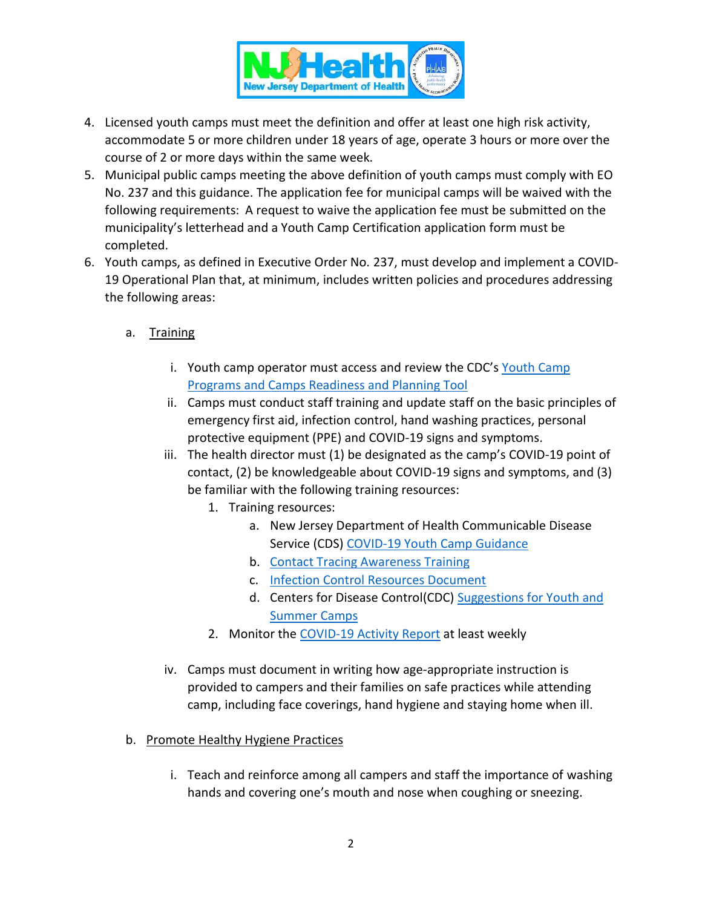

- 4. Licensed youth camps must meet the definition and offer at least one high risk activity, accommodate 5 or more children under 18 years of age, operate 3 hours or more over the course of 2 or more days within the same week.
- 5. Municipal public camps meeting the above definition of youth camps must comply with EO No. 237 and this guidance. The application fee for municipal camps will be waived with the following requirements: A request to waive the application fee must be submitted on the municipality's letterhead and a Youth Camp Certification application form must be completed.
- 6. Youth camps, as defined in Executive Order No. 237, must develop and implement a COVID-19 Operational Plan that, at minimum, includes written policies and procedures addressing the following areas:
	- a. Training
		- i. Youth camp operator must access and review the CDC's [Youth Camp](https://www.cdc.gov/coronavirus/2019-ncov/downloads/camp-planning-tool.pdf)  [Programs and Camps Readiness and Planning Tool](https://www.cdc.gov/coronavirus/2019-ncov/downloads/camp-planning-tool.pdf)
		- ii. Camps must conduct staff training and update staff on the basic principles of emergency first aid, infection control, hand washing practices, personal protective equipment (PPE) and COVID-19 signs and symptoms.
		- iii. The health director must (1) be designated as the camp's COVID-19 point of contact, (2) be knowledgeable about COVID-19 signs and symptoms, and (3) be familiar with the following training resources:
			- 1. Training resources:
				- a. New Jersey Department of Health Communicable Disease Service (CDS) [COVID-19 Youth Camp Guidance](https://www.state.nj.us/health/cd/documents/topics/NCOV/COVID_Reopening_Camps.pdf)
				- b. [Contact Tracing Awareness Training](https://www.coursera.org/promo/covid-19-contact-tracing)
				- c. [Infection Control Resources Document](https://www.state.nj.us/health/cd/documents/topics/NCOV/COVID19_Infection_Prevention_and_Control_Resources.pdf)
				- d. Centers for Disease Control(CDC) [Suggestions for Youth and](https://www.cdc.gov/coronavirus/2019-ncov/community/schools-childcare/summer-camps.html)  [Summer Camps](https://www.cdc.gov/coronavirus/2019-ncov/community/schools-childcare/summer-camps.html)
			- 2. Monitor the [COVID-19 Activity Report](https://www.nj.gov/health/cd/statistics/covid/) at least weekly
		- iv. Camps must document in writing how age-appropriate instruction is provided to campers and their families on safe practices while attending camp, including face coverings, hand hygiene and staying home when ill.
	- b. Promote Healthy Hygiene Practices
		- i. Teach and reinforce among all campers and staff the importance of washing hands and covering one's mouth and nose when coughing or sneezing.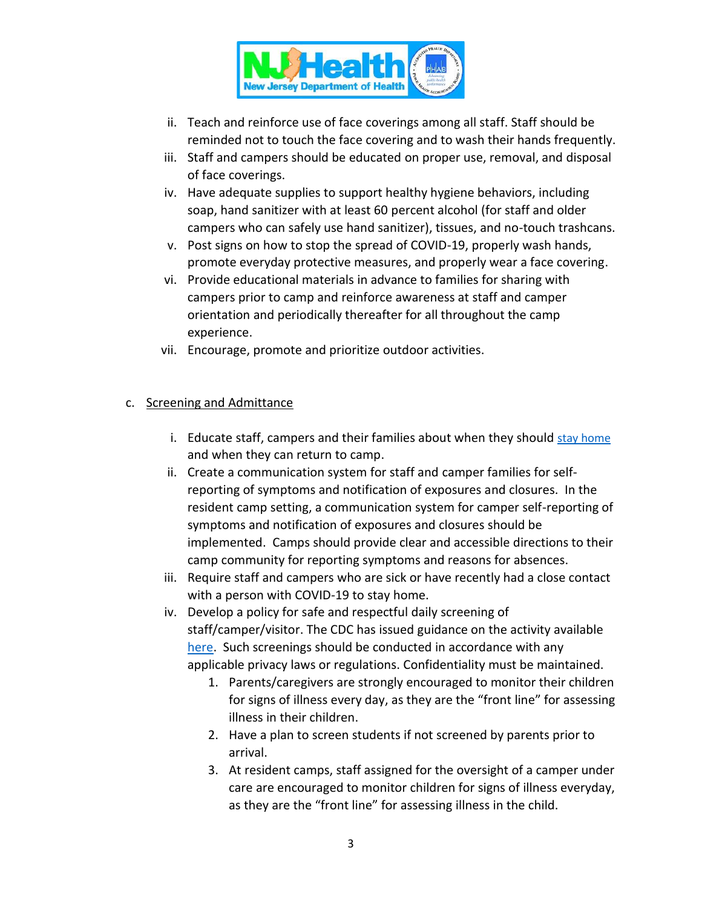

- ii. Teach and reinforce use of face coverings among all staff. Staff should be reminded not to touch the face covering and to wash their hands frequently.
- iii. Staff and campers should be educated on proper use, removal, and disposal of face coverings.
- iv. Have adequate supplies to support healthy hygiene behaviors, including soap, hand sanitizer with at least 60 percent alcohol (for staff and older campers who can safely use hand sanitizer), tissues, and no-touch trashcans.
- v. Post signs on how to stop the spread of COVID-19, properly wash hands, promote everyday protective measures, and properly wear a face covering.
- vi. Provide educational materials in advance to families for sharing with campers prior to camp and reinforce awareness at staff and camper orientation and periodically thereafter for all throughout the camp experience.
- vii. Encourage, promote and prioritize outdoor activities.

#### c. Screening and Admittance

- i. Educate staff, campers and their families about when they should [stay home](https://www.cdc.gov/coronavirus/2019-ncov/if-you-are-sick/quarantine.html) and when they can return to camp.
- ii. Create a communication system for staff and camper families for selfreporting of symptoms and notification of exposures and closures. In the resident camp setting, a communication system for camper self-reporting of symptoms and notification of exposures and closures should be implemented. Camps should provide clear and accessible directions to their camp community for reporting symptoms and reasons for absences.
- iii. Require staff and campers who are sick or have recently had a close contact with a person with COVID-19 to stay home.
- iv. Develop a policy for safe and respectful daily screening of staff/camper/visitor. The CDC has issued guidance on the activity available [here.](https://www.cdc.gov/coronavirus/2019-ncov/community/schools-childcare/guidance-for-childcare.html) Such screenings should be conducted in accordance with any applicable privacy laws or regulations. Confidentiality must be maintained.
	- 1. Parents/caregivers are strongly encouraged to monitor their children for signs of illness every day, as they are the "front line" for assessing illness in their children.
	- 2. Have a plan to screen students if not screened by parents prior to arrival.
	- 3. At resident camps, staff assigned for the oversight of a camper under care are encouraged to monitor children for signs of illness everyday, as they are the "front line" for assessing illness in the child.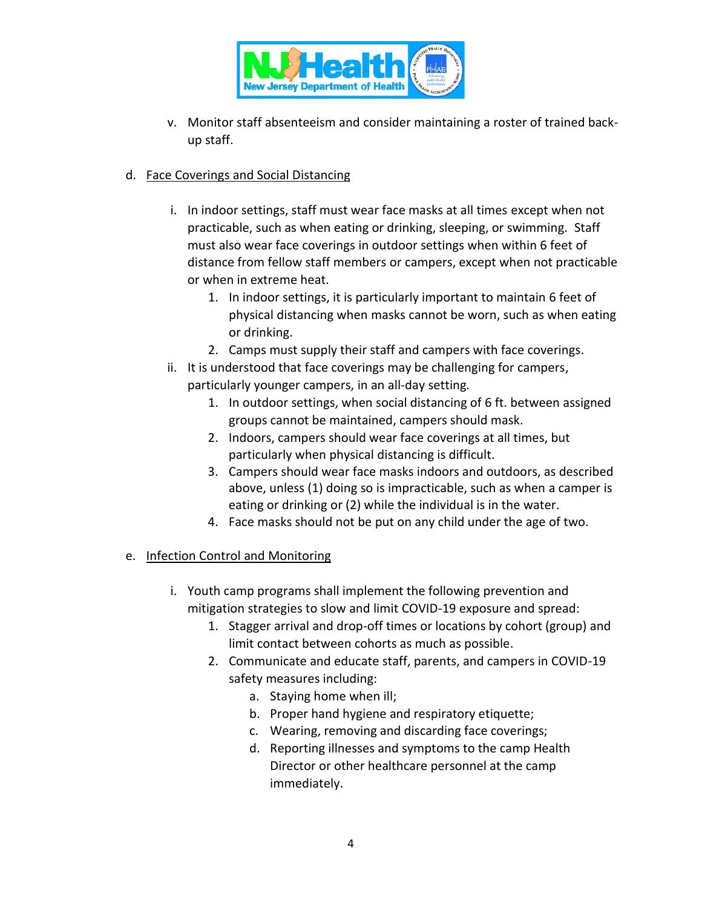

v. Monitor staff absenteeism and consider maintaining a roster of trained backup staff.

### d. Face Coverings and Social Distancing

- i. In indoor settings, staff must wear face masks at all times except when not practicable, such as when eating or drinking, sleeping, or swimming. Staff must also wear face coverings in outdoor settings when within 6 feet of distance from fellow staff members or campers, except when not practicable or when in extreme heat.
	- 1. In indoor settings, it is particularly important to maintain 6 feet of physical distancing when masks cannot be worn, such as when eating or drinking.
	- 2. Camps must supply their staff and campers with face coverings.
- ii. It is understood that face coverings may be challenging for campers, particularly younger campers, in an all-day setting.
	- 1. In outdoor settings, when social distancing of 6 ft. between assigned groups cannot be maintained, campers should mask.
	- 2. Indoors, campers should wear face coverings at all times, but particularly when physical distancing is difficult.
	- 3. Campers should wear face masks indoors and outdoors, as described above, unless (1) doing so is impracticable, such as when a camper is eating or drinking or (2) while the individual is in the water.
	- 4. Face masks should not be put on any child under the age of two.

#### e. Infection Control and Monitoring

- i. Youth camp programs shall implement the following prevention and mitigation strategies to slow and limit COVID-19 exposure and spread:
	- 1. Stagger arrival and drop-off times or locations by cohort (group) and limit contact between cohorts as much as possible.
	- 2. Communicate and educate staff, parents, and campers in COVID-19 safety measures including:
		- a. Staying home when ill;
		- b. Proper hand hygiene and respiratory etiquette;
		- c. Wearing, removing and discarding face coverings;
		- d. Reporting illnesses and symptoms to the camp Health Director or other healthcare personnel at the camp immediately.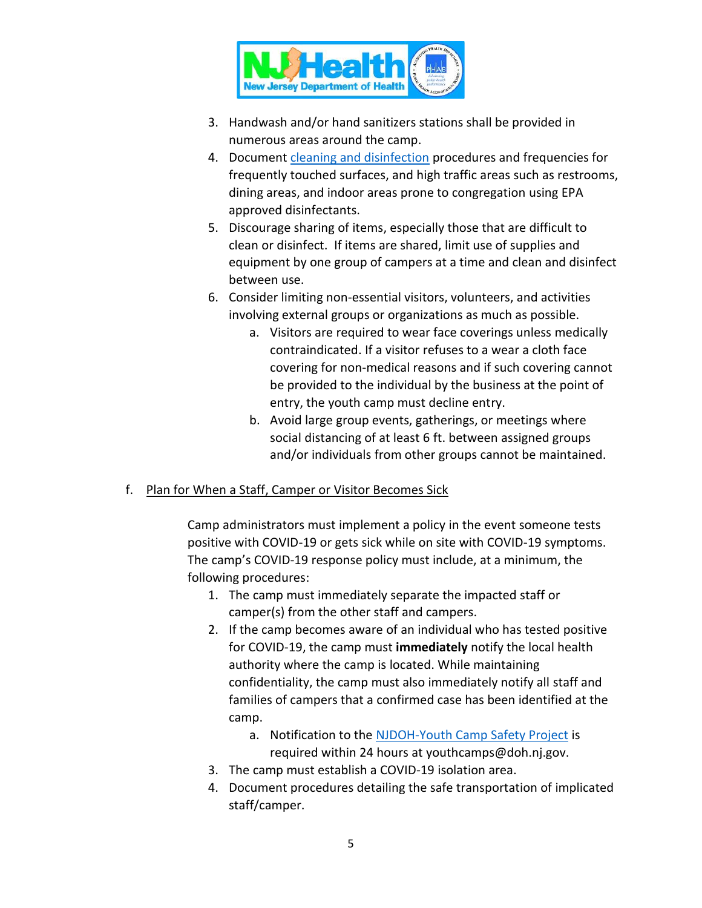

- 3. Handwash and/or hand sanitizers stations shall be provided in numerous areas around the camp.
- 4. Document [cleaning and disinfection](https://www.cdc.gov/coronavirus/2019-ncov/community/clean-disinfect/index.html) procedures and frequencies for frequently touched surfaces, and high traffic areas such as restrooms, dining areas, and indoor areas prone to congregation using EPA approved disinfectants.
- 5. Discourage sharing of items, especially those that are difficult to clean or disinfect. If items are shared, limit use of supplies and equipment by one group of campers at a time and clean and disinfect between use.
- 6. Consider limiting non-essential visitors, volunteers, and activities involving external groups or organizations as much as possible.
	- a. Visitors are required to wear face coverings unless medically contraindicated. If a visitor refuses to a wear a cloth face covering for non-medical reasons and if such covering cannot be provided to the individual by the business at the point of entry, the youth camp must decline entry.
	- b. Avoid large group events, gatherings, or meetings where social distancing of at least 6 ft. between assigned groups and/or individuals from other groups cannot be maintained.
- f. Plan for When a Staff, Camper or Visitor Becomes Sick

Camp administrators must implement a policy in the event someone tests positive with COVID-19 or gets sick while on site with COVID-19 symptoms. The camp's COVID-19 response policy must include, at a minimum, the following procedures:

- 1. The camp must immediately separate the impacted staff or camper(s) from the other staff and campers.
- 2. If the camp becomes aware of an individual who has tested positive for COVID-19, the camp must **immediately** notify the local health authority where the camp is located. While maintaining confidentiality, the camp must also immediately notify all staff and families of campers that a confirmed case has been identified at the camp.
	- a. Notification to the [NJDOH-Youth Camp Safety Project](mailto:youthcamps@doh.nj.gov?subject=Confirmed%20Positive%20at%20Camp) is required within 24 hours at youthcamps@doh.nj.gov.
- 3. The camp must establish a COVID-19 isolation area.
- 4. Document procedures detailing the safe transportation of implicated staff/camper.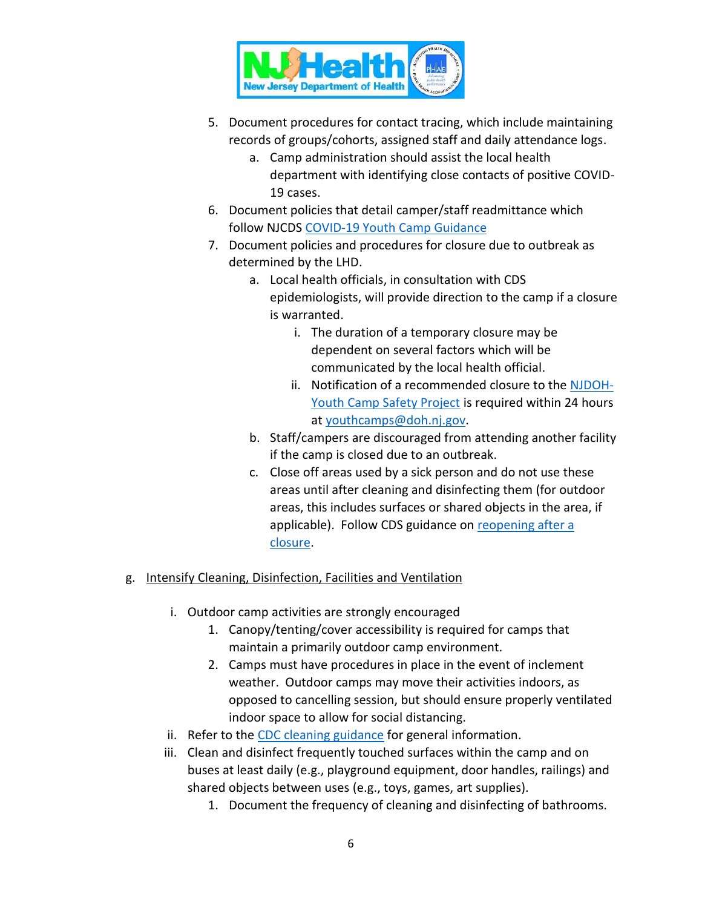

- 5. Document procedures for contact tracing, which include maintaining records of groups/cohorts, assigned staff and daily attendance logs.
	- a. Camp administration should assist the local health department with identifying close contacts of positive COVID-19 cases.
- 6. Document policies that detail camper/staff readmittance which follow NJCDS [COVID-19 Youth Camp Guidance](https://www.state.nj.us/health/cd/documents/topics/NCOV/COVID_Reopening_Camps.pdf)
- 7. Document policies and procedures for closure due to outbreak as determined by the LHD.
	- a. Local health officials, in consultation with CDS epidemiologists, will provide direction to the camp if a closure is warranted.
		- i. The duration of a temporary closure may be dependent on several factors which will be communicated by the local health official.
		- ii. Notification of a recommended closure to the [NJDOH-](mailto:youthcamps@doh.nj.gov?subject=Confirmed%20Positive%20at%20Camp)[Youth Camp Safety Project](mailto:youthcamps@doh.nj.gov?subject=Confirmed%20Positive%20at%20Camp) is required within 24 hours at [youthcamps@doh.nj.gov.](mailto:youthcamps@doh.nj.gov?subject=Recommended%20Closure%20of%20Youth%20Camp)
	- b. Staff/campers are discouraged from attending another facility if the camp is closed due to an outbreak.
	- c. Close off areas used by a sick person and do not use these areas until after cleaning and disinfecting them (for outdoor areas, this includes surfaces or shared objects in the area, if applicable). Follow CDS guidance on [reopening after a](https://www.state.nj.us/health/cd/documents/topics/NCOV/COVID_guidance_reopening_childcare.pdf)  [closure.](https://www.state.nj.us/health/cd/documents/topics/NCOV/COVID_guidance_reopening_childcare.pdf)

# g. Intensify Cleaning, Disinfection, Facilities and Ventilation

- i. Outdoor camp activities are strongly encouraged
	- 1. Canopy/tenting/cover accessibility is required for camps that maintain a primarily outdoor camp environment.
	- 2. Camps must have procedures in place in the event of inclement weather. Outdoor camps may move their activities indoors, as opposed to cancelling session, but should ensure properly ventilated indoor space to allow for social distancing.
- ii. Refer to the [CDC cleaning guidance](https://www.cdc.gov/coronavirus/2019-ncov/community/disinfecting-building-facility.html) for general information.
- iii. Clean and disinfect frequently touched surfaces within the camp and on buses at least daily (e.g., playground equipment, door handles, railings) and shared objects between uses (e.g., toys, games, art supplies).
	- 1. Document the frequency of cleaning and disinfecting of bathrooms.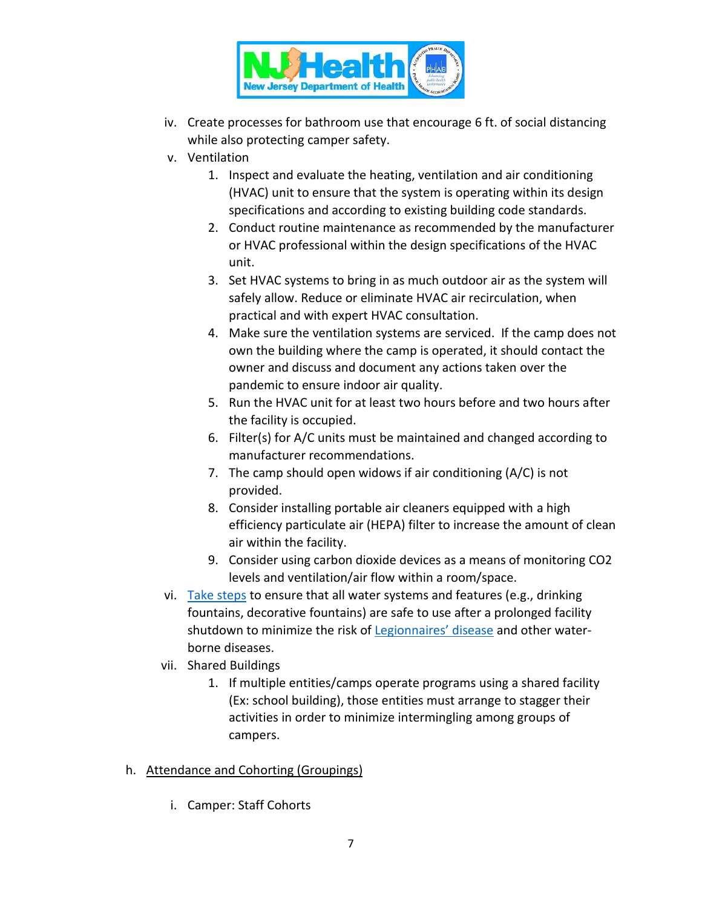

- iv. Create processes for bathroom use that encourage 6 ft. of social distancing while also protecting camper safety.
- v. Ventilation
	- 1. Inspect and evaluate the heating, ventilation and air conditioning (HVAC) unit to ensure that the system is operating within its design specifications and according to existing building code standards.
	- 2. Conduct routine maintenance as recommended by the manufacturer or HVAC professional within the design specifications of the HVAC unit.
	- 3. Set HVAC systems to bring in as much outdoor air as the system will safely allow. Reduce or eliminate HVAC air recirculation, when practical and with expert HVAC consultation.
	- 4. Make sure the ventilation systems are serviced. If the camp does not own the building where the camp is operated, it should contact the owner and discuss and document any actions taken over the pandemic to ensure indoor air quality.
	- 5. Run the HVAC unit for at least two hours before and two hours after the facility is occupied.
	- 6. Filter(s) for A/C units must be maintained and changed according to manufacturer recommendations.
	- 7. The camp should open widows if air conditioning (A/C) is not provided.
	- 8. Consider installing portable air cleaners equipped with a high efficiency particulate air (HEPA) filter to increase the amount of clean air within the facility.
	- 9. Consider using carbon dioxide devices as a means of monitoring CO2 levels and ventilation/air flow within a room/space.
- vi. [Take steps](https://www.cdc.gov/coronavirus/2019-ncov/php/building-water-system.html) to ensure that all water systems and features (e.g., drinking fountains, decorative fountains) are safe to use after a prolonged facility shutdown to minimize the risk of [Legionnaires' disease](https://www.cdc.gov/legionella/wmp/index.html) and other waterborne diseases.
- vii. Shared Buildings
	- 1. If multiple entities/camps operate programs using a shared facility (Ex: school building), those entities must arrange to stagger their activities in order to minimize intermingling among groups of campers.
- h. Attendance and Cohorting (Groupings)
	- i. Camper: Staff Cohorts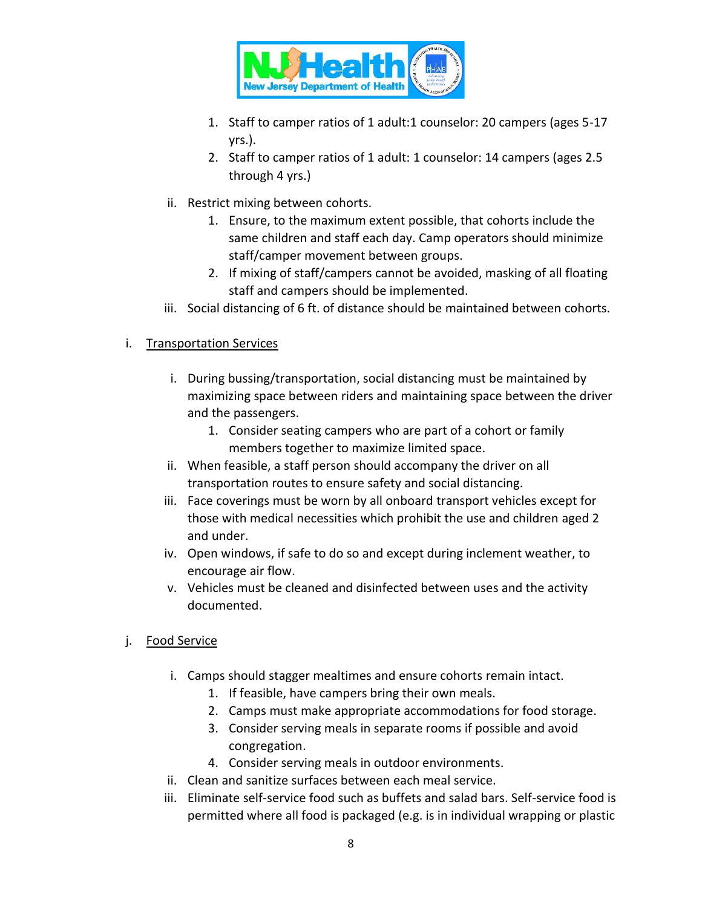

- 1. Staff to camper ratios of 1 adult:1 counselor: 20 campers (ages 5-17 yrs.).
- 2. Staff to camper ratios of 1 adult: 1 counselor: 14 campers (ages 2.5 through 4 yrs.)
- ii. Restrict mixing between cohorts.
	- 1. Ensure, to the maximum extent possible, that cohorts include the same children and staff each day. Camp operators should minimize staff/camper movement between groups.
	- 2. If mixing of staff/campers cannot be avoided, masking of all floating staff and campers should be implemented.
- iii. Social distancing of 6 ft. of distance should be maintained between cohorts.

# i. Transportation Services

- i. During bussing/transportation, social distancing must be maintained by maximizing space between riders and maintaining space between the driver and the passengers.
	- 1. Consider seating campers who are part of a cohort or family members together to maximize limited space.
- ii. When feasible, a staff person should accompany the driver on all transportation routes to ensure safety and social distancing.
- iii. Face coverings must be worn by all onboard transport vehicles except for those with medical necessities which prohibit the use and children aged 2 and under.
- iv. Open windows, if safe to do so and except during inclement weather, to encourage air flow.
- v. Vehicles must be cleaned and disinfected between uses and the activity documented.
- j. Food Service
	- i. Camps should stagger mealtimes and ensure cohorts remain intact.
		- 1. If feasible, have campers bring their own meals.
		- 2. Camps must make appropriate accommodations for food storage.
		- 3. Consider serving meals in separate rooms if possible and avoid congregation.
		- 4. Consider serving meals in outdoor environments.
	- ii. Clean and sanitize surfaces between each meal service.
	- iii. Eliminate self-service food such as buffets and salad bars. Self-service food is permitted where all food is packaged (e.g. is in individual wrapping or plastic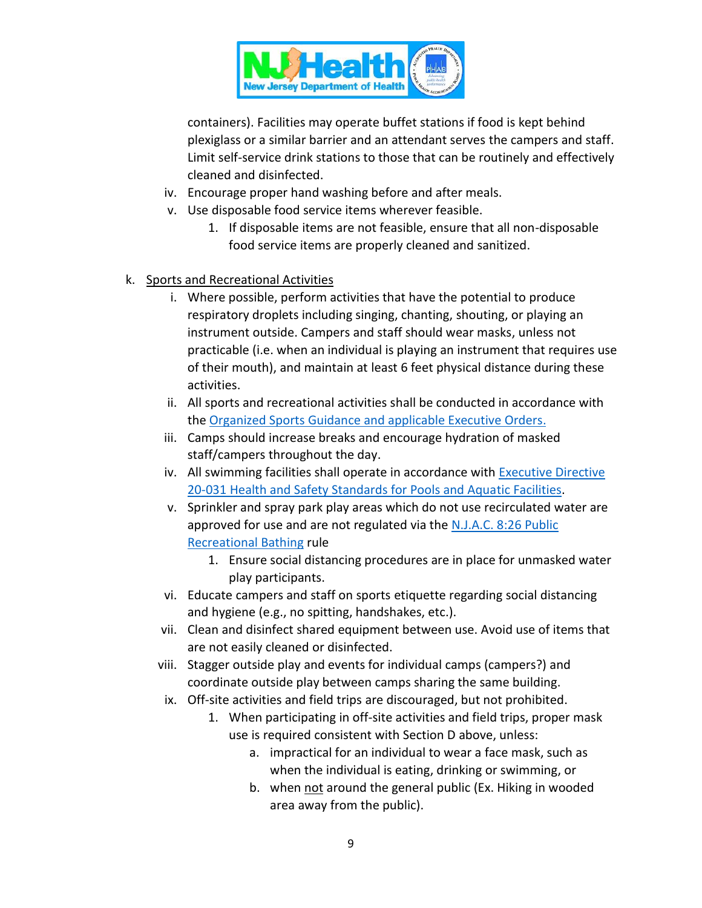

containers). Facilities may operate buffet stations if food is kept behind plexiglass or a similar barrier and an attendant serves the campers and staff. Limit self-service drink stations to those that can be routinely and effectively cleaned and disinfected.

- iv. Encourage proper hand washing before and after meals.
- v. Use disposable food service items wherever feasible.
	- 1. If disposable items are not feasible, ensure that all non-disposable food service items are properly cleaned and sanitized.
- k. Sports and Recreational Activities
	- i. Where possible, perform activities that have the potential to produce respiratory droplets including singing, chanting, shouting, or playing an instrument outside. Campers and staff should wear masks, unless not practicable (i.e. when an individual is playing an instrument that requires use of their mouth), and maintain at least 6 feet physical distance during these activities.
	- ii. All sports and recreational activities shall be conducted in accordance with the [Organized Sports](https://nj.gov/health/cd/documents/topics/NCOV/COVID_GuidanceForSportsActivities.pdf) Guidance and applicable Executive Orders.
	- iii. Camps should increase breaks and encourage hydration of masked staff/campers throughout the day.
	- iv. All swimming facilities shall operate in accordance with **Executive Directive** 20-031 [Health and Safety Standards for Pools and Aquatic Facilities.](https://www.state.nj.us/health/legal/covid19/7-1-2020_20-022ExecDirWAttachmentsPools.pdf)
	- v. Sprinkler and spray park play areas which do not use recirculated water are approved for use and are not regulated via th[e N.J.A.C. 8:26 Public](https://nj.gov/health/ceohs/documents/phss/recbathing.pdf)  [Recreational Bathing](https://nj.gov/health/ceohs/documents/phss/recbathing.pdf) rule
		- 1. Ensure social distancing procedures are in place for unmasked water play participants.
	- vi. Educate campers and staff on sports etiquette regarding social distancing and hygiene (e.g., no spitting, handshakes, etc.).
	- vii. Clean and disinfect shared equipment between use. Avoid use of items that are not easily cleaned or disinfected.
	- viii. Stagger outside play and events for individual camps (campers?) and coordinate outside play between camps sharing the same building.
	- ix. Off-site activities and field trips are discouraged, but not prohibited.
		- 1. When participating in off-site activities and field trips, proper mask use is required consistent with Section D above, unless:
			- a. impractical for an individual to wear a face mask, such as when the individual is eating, drinking or swimming, or
			- b. when not around the general public (Ex. Hiking in wooded area away from the public).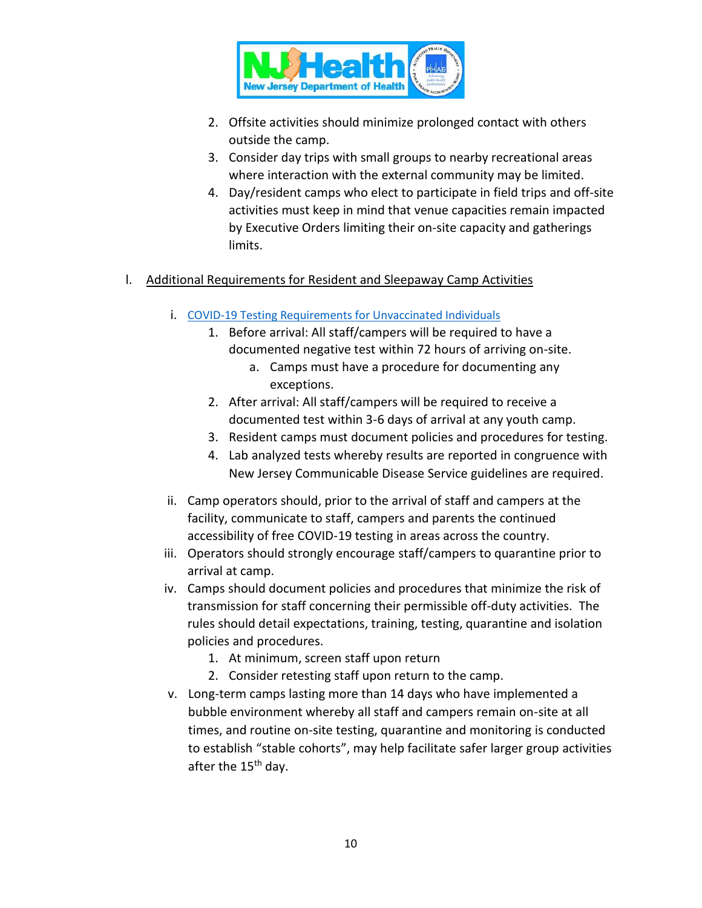

- 2. Offsite activities should minimize prolonged contact with others outside the camp.
- 3. Consider day trips with small groups to nearby recreational areas where interaction with the external community may be limited.
- 4. Day/resident camps who elect to participate in field trips and off-site activities must keep in mind that venue capacities remain impacted by Executive Orders limiting their on-site capacity and gatherings limits.

# l. Additional Requirements for Resident and Sleepaway Camp Activities

- i. [COVID-19 Testing](https://www.state.nj.us/health/cd/documents/topics/NCOV/Guidance%20Fully%20Vaccinated.pdf) Requirements for Unvaccinated Individuals
	- 1. Before arrival: All staff/campers will be required to have a documented negative test within 72 hours of arriving on-site.
		- a. Camps must have a procedure for documenting any exceptions.
	- 2. After arrival: All staff/campers will be required to receive a documented test within 3-6 days of arrival at any youth camp.
	- 3. Resident camps must document policies and procedures for testing.
	- 4. Lab analyzed tests whereby results are reported in congruence with New Jersey Communicable Disease Service guidelines are required.
- ii. Camp operators should, prior to the arrival of staff and campers at the facility, communicate to staff, campers and parents the continued accessibility of free COVID-19 testing in areas across the country.
- iii. Operators should strongly encourage staff/campers to quarantine prior to arrival at camp.
- iv. Camps should document policies and procedures that minimize the risk of transmission for staff concerning their permissible off-duty activities. The rules should detail expectations, training, testing, quarantine and isolation policies and procedures.
	- 1. At minimum, screen staff upon return
	- 2. Consider retesting staff upon return to the camp.
- v. Long-term camps lasting more than 14 days who have implemented a bubble environment whereby all staff and campers remain on-site at all times, and routine on-site testing, quarantine and monitoring is conducted to establish "stable cohorts", may help facilitate safer larger group activities after the 15<sup>th</sup> day.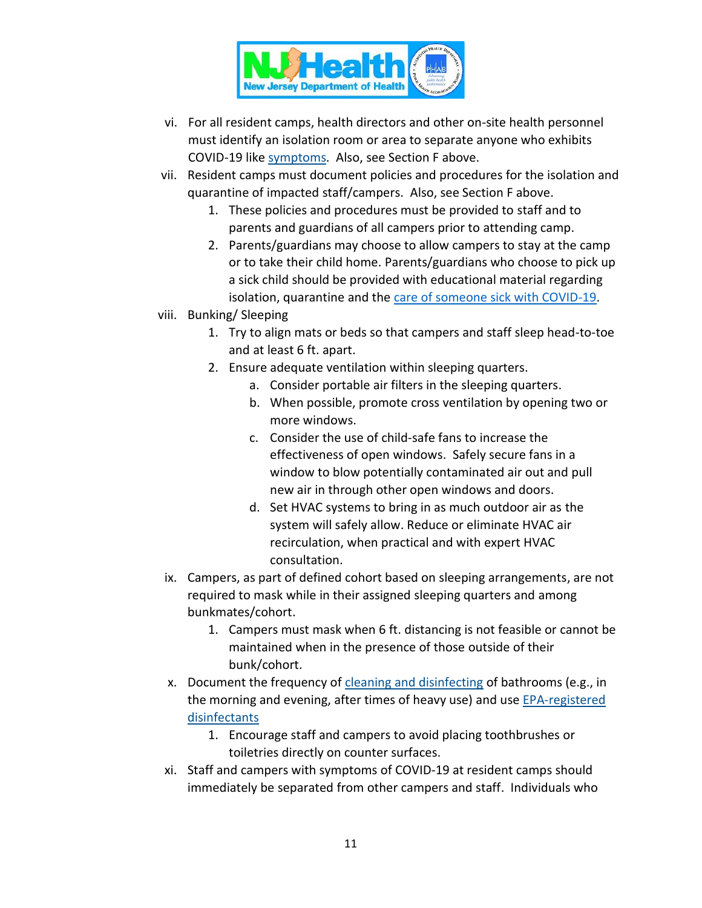

- vi. For all resident camps, health directors and other on-site health personnel must identify an isolation room or area to separate anyone who exhibits COVID-19 like [symptoms.](https://www.cdc.gov/coronavirus/2019-ncov/communication/print-resources.html?Sort=Date%3A%3Adesc) Also, see Section F above.
- vii. Resident camps must document policies and procedures for the isolation and quarantine of impacted staff/campers. Also, see Section F above.
	- 1. These policies and procedures must be provided to staff and to parents and guardians of all campers prior to attending camp.
	- 2. Parents/guardians may choose to allow campers to stay at the camp or to take their child home. Parents/guardians who choose to pick up a sick child should be provided with educational material regarding isolation, quarantine and the [care of someone sick with COVID-19.](https://www.cdc.gov/coronavirus/2019-ncov/if-you-are-sick/care-for-someone.html)
- viii. Bunking/ Sleeping
	- 1. Try to align mats or beds so that campers and staff sleep head-to-toe and at least 6 ft. apart.
	- 2. Ensure adequate ventilation within sleeping quarters.
		- a. Consider portable air filters in the sleeping quarters.
		- b. When possible, promote cross ventilation by opening two or more windows.
		- c. Consider the use of child-safe fans to increase the effectiveness of open windows. Safely secure fans in a window to blow potentially contaminated air out and pull new air in through other open windows and doors.
		- d. Set HVAC systems to bring in as much outdoor air as the system will safely allow. Reduce or eliminate HVAC air recirculation, when practical and with expert HVAC consultation.
- ix. Campers, as part of defined cohort based on sleeping arrangements, are not required to mask while in their assigned sleeping quarters and among bunkmates/cohort.
	- 1. Campers must mask when 6 ft. distancing is not feasible or cannot be maintained when in the presence of those outside of their bunk/cohort.
- x. Document the frequency of [cleaning and disinfecting](https://www.cdc.gov/coronavirus/2019-ncov/community/reopen-guidance.html) of bathrooms (e.g., in the morning and evening, after times of heavy use) and use [EPA-registered](https://www.epa.gov/pesticide-registration/list-n-disinfectants-use-against-sars-cov-2)  [disinfectants](https://www.epa.gov/pesticide-registration/list-n-disinfectants-use-against-sars-cov-2)
	- 1. Encourage staff and campers to avoid placing toothbrushes or toiletries directly on counter surfaces.
- xi. Staff and campers with symptoms of COVID-19 at resident camps should immediately be separated from other campers and staff. Individuals who